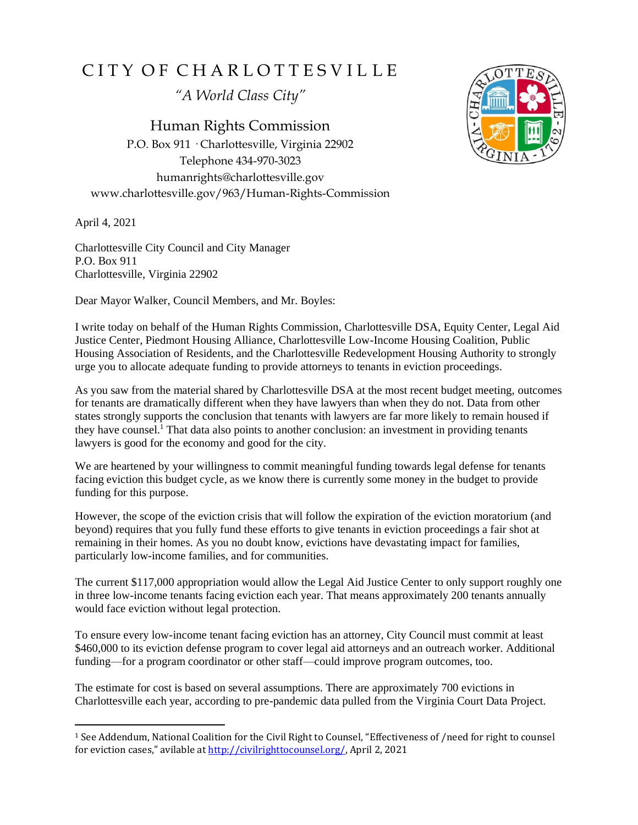## CITY OF CHARLOTTESVILLE

*"A World Class City"*

Human Rights Commission P.O. Box 911 · Charlottesville, Virginia 22902 Telephone 434-970-3023 humanrights@charlottesville.gov www.charlottesville.gov/963/Human-Rights-Commission

April 4, 2021

Charlottesville City Council and City Manager P.O. Box 911 Charlottesville, Virginia 22902

Dear Mayor Walker, Council Members, and Mr. Boyles:

I write today on behalf of the Human Rights Commission, Charlottesville DSA, Equity Center, Legal Aid Justice Center, Piedmont Housing Alliance, Charlottesville Low-Income Housing Coalition, Public Housing Association of Residents, and the Charlottesville Redevelopment Housing Authority to strongly urge you to allocate adequate funding to provide attorneys to tenants in eviction proceedings.

As you saw from the material shared by Charlottesville DSA at the most recent budget meeting, outcomes for tenants are dramatically different when they have lawyers than when they do not. Data from other states strongly supports the conclusion that tenants with lawyers are far more likely to remain housed if they have counsel.<sup>1</sup> That data also points to another conclusion: an investment in providing tenants lawyers is good for the economy and good for the city.

We are heartened by your willingness to commit meaningful funding towards legal defense for tenants facing eviction this budget cycle, as we know there is currently some money in the budget to provide funding for this purpose.

However, the scope of the eviction crisis that will follow the expiration of the eviction moratorium (and beyond) requires that you fully fund these efforts to give tenants in eviction proceedings a fair shot at remaining in their homes. As you no doubt know, evictions have devastating impact for families, particularly low-income families, and for communities.

The current \$117,000 appropriation would allow the Legal Aid Justice Center to only support roughly one in three low-income tenants facing eviction each year. That means approximately 200 tenants annually would face eviction without legal protection.

To ensure every low-income tenant facing eviction has an attorney, City Council must commit at least \$460,000 to its eviction defense program to cover legal aid attorneys and an outreach worker. Additional funding—for a program coordinator or other staff—could improve program outcomes, too.

The estimate for cost is based on several assumptions. There are approximately 700 evictions in Charlottesville each year, according to pre-pandemic data pulled from the Virginia Court Data Project.



<sup>1</sup> See Addendum, National Coalition for the Civil Right to Counsel, "Effectiveness of /need for right to counsel for eviction cases," avilable at [http://civilrighttocounsel.org/,](http://civilrighttocounsel.org/) April 2, 2021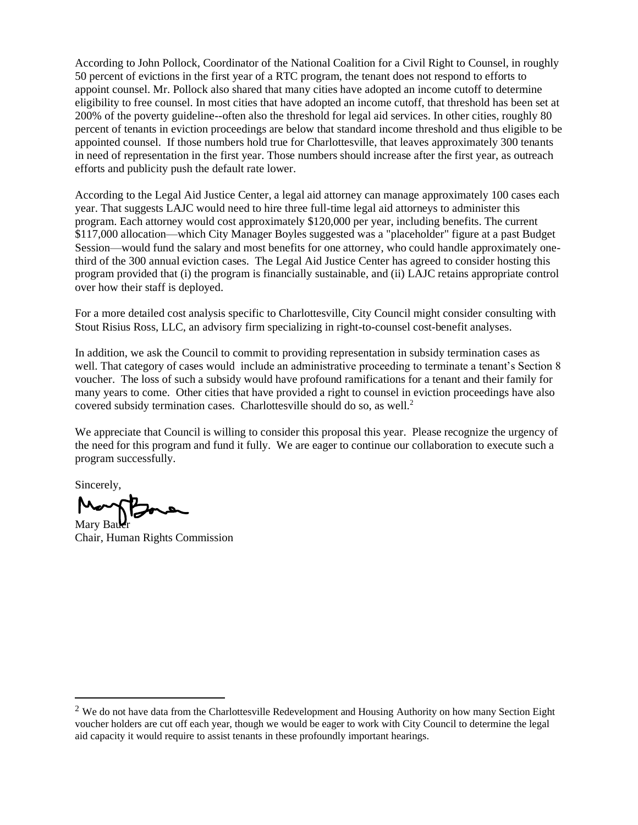According to John Pollock, Coordinator of the National Coalition for a Civil Right to Counsel, in roughly 50 percent of evictions in the first year of a RTC program, the tenant does not respond to efforts to appoint counsel. Mr. Pollock also shared that many cities have adopted an income cutoff to determine eligibility to free counsel. In most cities that have adopted an income cutoff, that threshold has been set at 200% of the poverty guideline--often also the threshold for legal aid services. In other cities, roughly 80 percent of tenants in eviction proceedings are below that standard income threshold and thus eligible to be appointed counsel. If those numbers hold true for Charlottesville, that leaves approximately 300 tenants in need of representation in the first year. Those numbers should increase after the first year, as outreach efforts and publicity push the default rate lower.

According to the Legal Aid Justice Center, a legal aid attorney can manage approximately 100 cases each year. That suggests LAJC would need to hire three full-time legal aid attorneys to administer this program. Each attorney would cost approximately \$120,000 per year, including benefits. The current \$117,000 allocation—which City Manager Boyles suggested was a "placeholder" figure at a past Budget Session—would fund the salary and most benefits for one attorney, who could handle approximately onethird of the 300 annual eviction cases. The Legal Aid Justice Center has agreed to consider hosting this program provided that (i) the program is financially sustainable, and (ii) LAJC retains appropriate control over how their staff is deployed.

For a more detailed cost analysis specific to Charlottesville, City Council might consider consulting with Stout Risius Ross, LLC, an advisory firm specializing in right-to-counsel cost-benefit analyses.

In addition, we ask the Council to commit to providing representation in subsidy termination cases as well. That category of cases would include an administrative proceeding to terminate a tenant's Section 8 voucher. The loss of such a subsidy would have profound ramifications for a tenant and their family for many years to come. Other cities that have provided a right to counsel in eviction proceedings have also covered subsidy termination cases. Charlottesville should do so, as well.<sup>2</sup>

We appreciate that Council is willing to consider this proposal this year. Please recognize the urgency of the need for this program and fund it fully. We are eager to continue our collaboration to execute such a program successfully.

Sincerely,

Mary Bau Chair, Human Rights Commission

<sup>&</sup>lt;sup>2</sup> We do not have data from the Charlottesville Redevelopment and Housing Authority on how many Section Eight voucher holders are cut off each year, though we would be eager to work with City Council to determine the legal aid capacity it would require to assist tenants in these profoundly important hearings.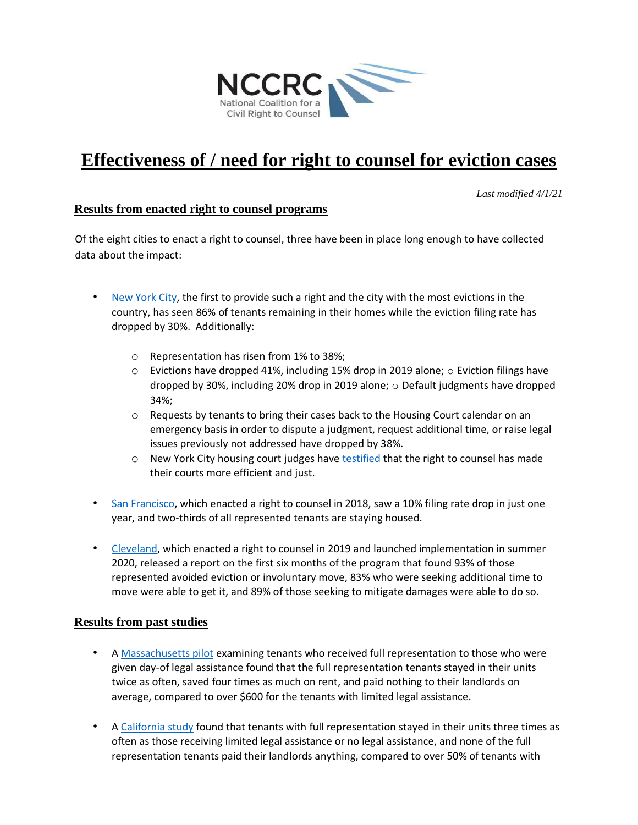

# **Effectiveness of / need for right to counsel for eviction cases**

*Last modified 4/1/21* 

#### **Results from enacted right to counsel programs**

Of the eight cities to enact a right to counsel, three have been in place long enough to have collected data about the impact:

- [New York City,](https://www1.nyc.gov/assets/hra/downloads/pdf/services/civiljustice/OCJ_UA_Annual_Report_2020.pdf) the first to provide such a right and the city with the most evictions in the country, has seen 86% of tenants remaining in their homes while the eviction filing rate has dropped by 30%. Additionally:
	- o Representation has risen from 1% to 38%;
	- $\circ$  Evictions have dropped 41%, including 15% drop in 2019 alone;  $\circ$  Eviction filings have dropped by 30%, including 20% drop in 2019 alone;  $\circ$  Default judgments have dropped 34%;
	- o Requests by tenants to bring their cases back to the Housing Court calendar on an emergency basis in order to dispute a judgment, request additional time, or raise legal issues previously not addressed have dropped by 38%.
	- $\circ$  New York City housing court judges hav[e testified th](https://www.law.com/newyorklawjournal/2018/09/24/increasing-tenants-access-to-counsel-has-raised-court-efficiency-fairness-judges-say/)at the right to counsel has made their courts more efficient and just.
- [San Francisco,](http://civilrighttocounsel.org/major_developments/1179) which enacted a right to counsel in 2018, saw a 10% filing rate drop in just one year, and two-thirds of all represented tenants are staying housed.
- [Cleveland,](https://lasclev.org/wp-content/uploads/January-2021-report-on-initial-6-months-of-Right-to-Counsel-Cleveland-high-res.pdf) which enacted a right to counsel in 2019 and launched implementation in summer 2020, released a report on the first six months of the program that found 93% of those represented avoided eviction or involuntary move, 83% who were seeking additional time to move were able to get it, and 89% of those seeking to mitigate damages were able to do so.

#### **Results from past studies**

- A [Massachusetts pilot](http://cdn.harvardlawreview.org/wp-content/uploads/pdfs/vol126_%20greiner_wolos_pattanayak_hennessy.pdf) [e](http://cdn.harvardlawreview.org/wp-content/uploads/pdfs/vol126_%20greiner_wolos_pattanayak_hennessy.pdf)xamining tenants who received full representation to those who were given day-of legal assistance found that the full representation tenants stayed in their units twice as often, saved four times as much on rent, and paid nothing to their landlords on average, compared to over \$600 for the tenants with limited legal assistance.
- A [California study](https://scholarship.law.gwu.edu/cgi/viewcontent.cgi?referer=https://www.google.com/&httpsredir=1&article=2112&context=faculty_publications) [f](https://scholarship.law.gwu.edu/cgi/viewcontent.cgi?referer=https://www.google.com/&httpsredir=1&article=2112&context=faculty_publications)ound that tenants with full representation stayed in their units three times as often as those receiving limited legal assistance or no legal assistance, and none of the full representation tenants paid their landlords anything, compared to over 50% of tenants with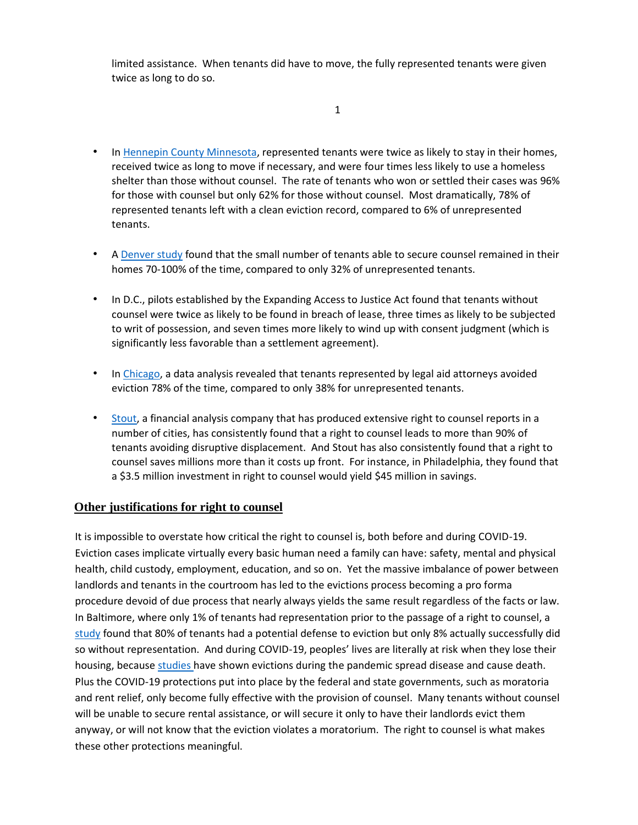limited assistance. When tenants did have to move, the fully represented tenants were given twice as long to do so.

#### 1

- In [Hennepin County Minnesota,](https://www.minnpost.com/wp-content/uploads/2018/11/2018-Eviction-Representation-Results-Study-with-logos.pdf) represented tenants were twice as likely to stay in their homes, received twice as long to move if necessary, and were four times less likely to use a homeless shelter than those without counsel. The rate of tenants who won or settled their cases was 96% for those with counsel but only 62% for those without counsel. Most dramatically, 78% of represented tenants left with a clean eviction record, compared to 6% of unrepresented tenants.
- A [Denver study](https://cclponline.org/wp-content/uploads/2017/09/Facing-Eviction-Alone-9-11-17.pdf) found that the small number of tenants able to secure counsel remained in their homes 70-100% of the time, compared to only 32% of unrepresented tenants.
- In D.C., pilots established by the Expanding Access to Justice Act found that tenants without counsel were twice as likely to be found in breach of lease, three times as likely to be subjected to writ of possession, and seven times more likely to wind up with consent judgment (which is significantly less favorable than a settlement agreement).
- In [Chicago,](https://eviction.lcbh.org/reports/legal-aid-attorneys-make-the-difference) a data analysis revealed that tenants represented by legal aid attorneys avoided eviction 78% of the time, compared to only 38% for unrepresented tenants.
- [Stout,](https://www.stout.com/en/services/transformative-change-consulting/eviction-right-to-counsel-resources) a financial analysis company that has produced extensive right to counsel reports in a number of cities, has consistently found that a right to counsel leads to more than 90% of tenants avoiding disruptive displacement. And Stout has also consistently found that a right to counsel saves millions more than it costs up front. For instance, in Philadelphia, they found that a \$3.5 million investment in right to counsel would yield \$45 million in savings.

### **Other justifications for right to counsel**

It is impossible to overstate how critical the right to counsel is, both before and during COVID-19. Eviction cases implicate virtually every basic human need a family can have: safety, mental and physical health, child custody, employment, education, and so on. Yet the massive imbalance of power between landlords and tenants in the courtroom has led to the evictions process becoming a pro forma procedure devoid of due process that nearly always yields the same result regardless of the facts or law. In Baltimore, where only 1% of tenants had representation prior to the passage of a right to counsel, a [study](https://abell.org/sites/default/files/files/cd-justicediverted216.pdf) found that 80% of tenants had a potential defense to eviction but only 8% actually successfully did so without representation. And during COVID-19, peoples' lives are literally at risk when they lose their housing, because [studies ha](https://papers.ssrn.com/sol3/papers.cfm?abstract_id=3739576)ve shown evictions during the pandemic spread disease and cause death. Plus the COVID-19 protections put into place by the federal and state governments, such as moratoria and rent relief, only become fully effective with the provision of counsel. Many tenants without counsel will be unable to secure rental assistance, or will secure it only to have their landlords evict them anyway, or will not know that the eviction violates a moratorium. The right to counsel is what makes these other protections meaningful.